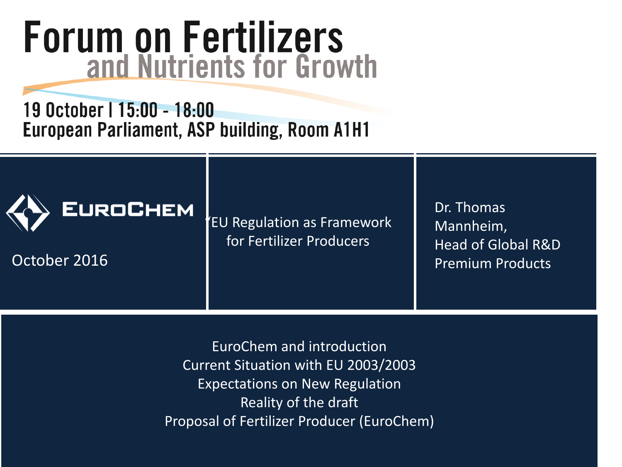# **Forum on Fertilizers**<br>and Nutrients for Growth

19 October | 15:00 - 18:00 European Parliament, ASP building, Room A1H1



October 2016

"EU Regulation as Framework for Fertilizer Producers

Dr. Thomas Mannheim, Head of Global R&D Premium Products

EuroChem and introduction Current Situation with EU 2003/2003 Expectations on New Regulation Reality of the draft Proposal of Fertilizer Producer (EuroChem)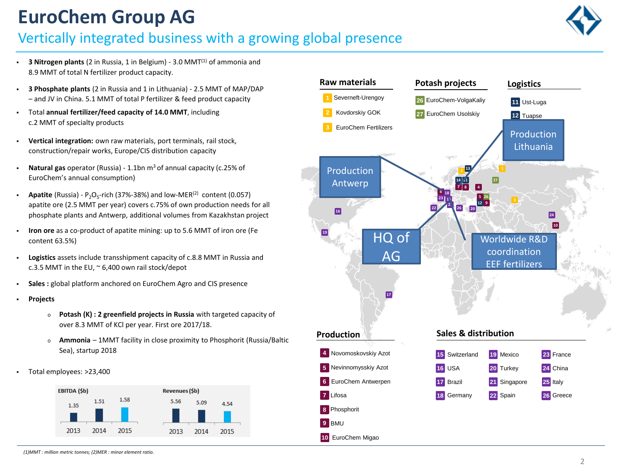# **EuroChem Group AG**

## Vertically integrated business with a growing global presence



- **3 Nitrogen plants** (2 in Russia, 1 in Belgium) 3.0 MMT<sup>(1)</sup> of ammonia and 8.9 MMT of total N fertilizer product capacity.
- **3 Phosphate plants** (2 in Russia and 1 in Lithuania) 2.5 MMT of MAP/DAP – and JV in China. 5.1 MMT of total P fertilizer & feed product capacity
- Total **annual fertilizer/feed capacity of 14.0 MMT**, including c.2 MMT of specialty products
- **Vertical integration:** own raw materials, port terminals, rail stock, construction/repair works, Europe/CIS distribution capacity
- **Natural gas** operator (Russia) 1.1bn m3 of annual capacity (c.25% of EuroChem's annual consumption)
- **Apatite** (Russia)  $P_2O_5$ -rich (37%-38%) and low-MER<sup>(2)</sup> content (0.057) apatite ore (2.5 MMT per year) covers c.75% of own production needs for all phosphate plants and Antwerp, additional volumes from Kazakhstan project
- **Iron ore** as a co-product of apatite mining: up to 5.6 MMT of iron ore (Fe content 63.5%)
- **Logistics** assets include transshipment capacity of c.8.8 MMT in Russia and c.3.5 MMT in the EU,  $\approx$  6,400 own rail stock/depot
- **Sales :** global platform anchored on EuroChem Agro and CIS presence
- **Projects**
	- <sup>o</sup> **Potash (K) : 2 greenfield projects in Russia** with targeted capacity of over 8.3 MMT of KCl per year. First ore 2017/18.
	- <sup>o</sup> **Ammonia**  1MMT facility in close proximity to Phosphorit (Russia/Baltic Sea), startup 2018
- Total employees: >23,400



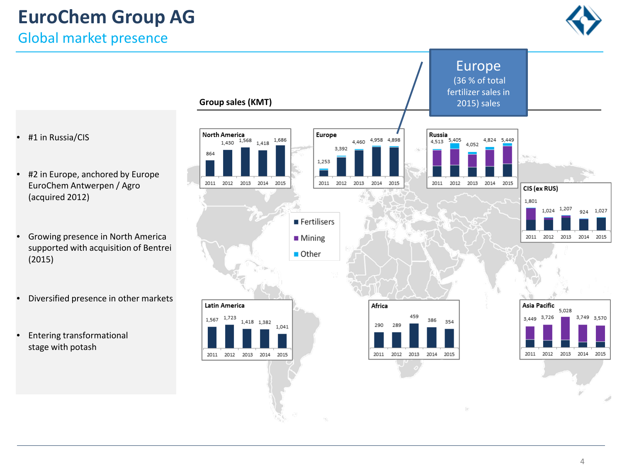# **EuroChem Group AG**

Global market presence





- #1 in Russia/CIS
- #2 in Europe, anchored by Europe EuroChem Antwerpen / Agro (acquired 2012)
- Growing presence in North America supported with acquisition of Bentrei (2015)
- Diversified presence in other markets
- Entering transformational stage with potash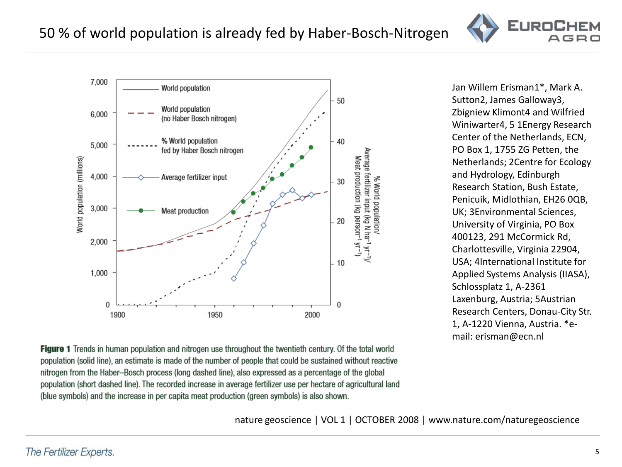nature geoscience | VOL 1 | OCTOBER 2008 | www.nature.com/naturegeoscience

# 50 % of world population is already fed by Haber-Bosch-Nitrogen



Figure 1 Trends in human population and nitrogen use throughout the twentieth century. Of the total world population (solid line), an estimate is made of the number of people that could be sustained without reactive nitrogen from the Haber–Bosch process (long dashed line), also expressed as a percentage of the global

Jan Willem Erisman1\*, Mark A. Sutton2, James Galloway3, Zbigniew Klimont4 and Wilfried Winiwarter4, 5 1Energy Research Center of the Netherlands, ECN, PO Box 1, 1755 ZG Petten, the Netherlands; 2Centre for Ecology and Hydrology, Edinburgh Research Station, Bush Estate, Penicuik, Midlothian, EH26 0QB, UK; 3Environmental Sciences, University of Virginia, PO Box 400123, 291 McCormick Rd, Charlottesville, Virginia 22904, USA; 4International Institute for Applied Systems Analysis (IIASA), Schlossplatz 1, A-2361 Laxenburg, Austria; 5Austrian Research Centers, Donau-City Str. 1, A-1220 Vienna, Austria. \*email: erisman@ecn.nl

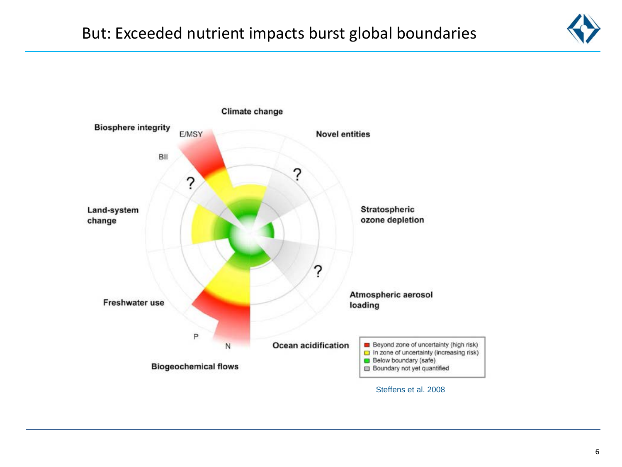

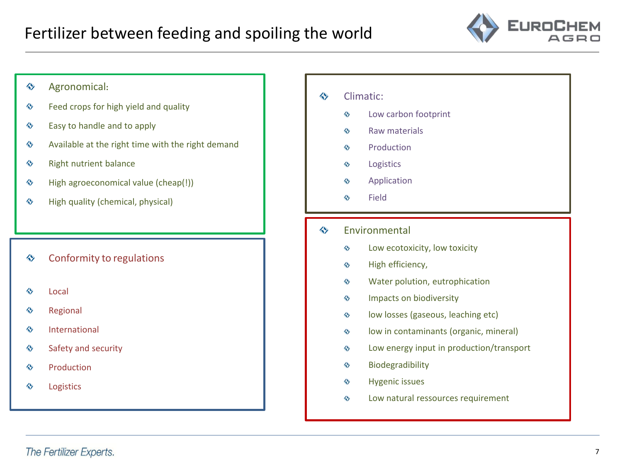

#### Agronomical**:** ♦

- Feed crops for high yield and quality ◈
- Easy to handle and to apply ◈
- Available at the right time with the right demand ◈
- ♦ Right nutrient balance
- High agroeconomical value (cheap(!)) ♦
- High quality (chemical, physical) ◈

#### ♦ Conformity to regulations

- Local ◈
- Regional ◈
- ◈ International
- Safety and security ♦
- Production ♦
- Logistics ◈

#### ◈ Climatic:

- Low carbon footprint ♦
- Raw materials  $\leftrightarrow$
- Production  $\leftrightarrow$
- Logistics ♦
- ♦ Application
- Field ♦
- ◈ Environmental
	- Low ecotoxicity, low toxicity  $\leftrightarrow$
	- ♦ High efficiency,
	- Water polution, eutrophication  $\leftrightarrow$
	- Impacts on biodiversity ♦
	- low losses (gaseous, leaching etc)  $\leftrightarrow$
	- low in contaminants (organic, mineral)  $\leftrightarrow$
	- Low energy input in production/transport ♦
	- Biodegradibility  $\leftrightarrow$
	- $\leftrightarrow$ Hygenic issues
	- Low natural ressources requirement ♦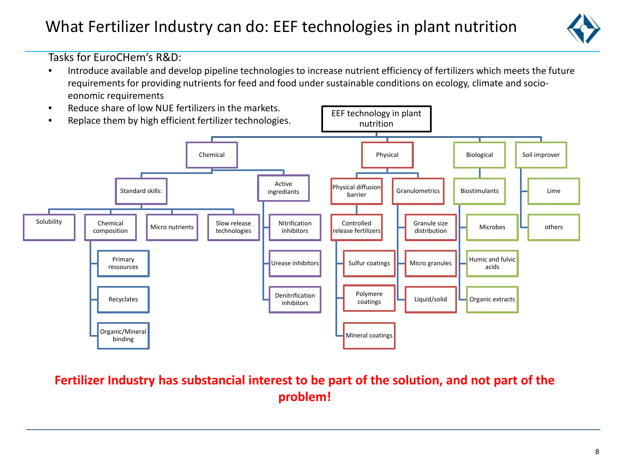## What Fertilizer Industry can do: EEF technologies in plant nutrition



Tasks for EuroCHem's R&D:

- Introduce available and develop pipeline technologies to increase nutrient efficiency of fertilizers which meets the future requirements for providing nutrients for feed and food under sustainable conditions on ecology, climate and socioeonomic requirements
- EEF technology in plant nutrition Chemical Standard skills: Solubility | | Chemical composition Primary ressources Recyclates Organic/Mineral binding Micro nutrients Slow release technologies Active ingrediants Nitrification inhibitors Urease inhibitors Denitrification inhibitors Physical Physical diffusion barrier Controlled release fertilizers Sulfur coatings Polymere coatings Mineral coatings Granulometrics Granule size distribution Micro granules Liquid/solid Biological Biostimulants Microbes Humic and fulvic acids Organic extracts Soil improver Lime others • Reduce share of low NUE fertilizers in the markets. • Replace them by high efficient fertilizer technologies.

## **Fertilizer Industry has substancial interest to be part of the solution, and not part of the problem!**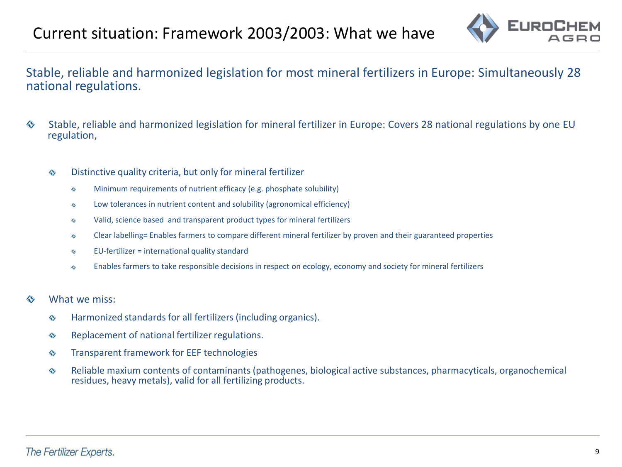

Stable, reliable and harmonized legislation for most mineral fertilizers in Europe: Simultaneously 28 national regulations.

- ♦ Stable, reliable and harmonized legislation for mineral fertilizer in Europe: Covers 28 national regulations by one EU regulation,
	- Distinctive quality criteria, but only for mineral fertilizer  $\leftrightarrow$ 
		- Minimum requirements of nutrient efficacy (e.g. phosphate solubility) ♦
		- Low tolerances in nutrient content and solubility (agronomical efficiency) ♦
		- Valid, science based and transparent product types for mineral fertilizers 亽
		- Clear labelling= Enables farmers to compare different mineral fertilizer by proven and their guaranteed properties ♦
		- EU-fertilizer = international quality standard ♦
		- Enables farmers to take responsible decisions in respect on ecology, economy and society for mineral fertilizers ♦
- What we miss: ↭
	- $\leftrightarrow$ Harmonized standards for all fertilizers (including organics).
	- Replacement of national fertilizer regulations.  $\leftrightarrow$
	- Transparent framework for EEF technologies  $\leftrightarrow$
	- Reliable maxium contents of contaminants (pathogenes, biological active substances, pharmacyticals, organochemical  $\leftrightarrow$ residues, heavy metals), valid for all fertilizing products.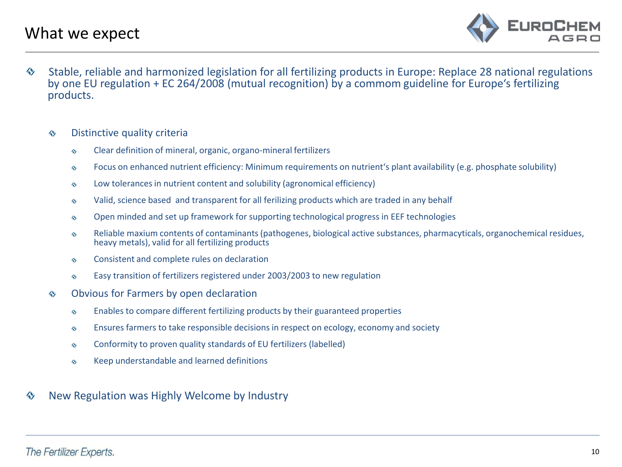

♦ Stable, reliable and harmonized legislation for all fertilizing products in Europe: Replace 28 national regulations by one EU regulation + EC 264/2008 (mutual recognition) by a commom guideline for Europe's fertilizing products.

#### Distinctive quality criteria ♦

- Clear definition of mineral, organic, organo-mineral fertilizers ♦
- Focus on enhanced nutrient efficiency: Minimum requirements on nutrient's plant availability (e.g. phosphate solubility)  $\leftrightarrow$
- Low tolerances in nutrient content and solubility (agronomical efficiency) ♦
- Valid, science based and transparent for all ferilizing products which are traded in any behalf ♦
- Open minded and set up framework for supporting technological progress in EEF technologies ♦
- Reliable maxium contents of contaminants (pathogenes, biological active substances, pharmacyticals, organochemical residues, heavy metals), valid for all fertilizing products  $\leftrightarrow$
- Consistent and complete rules on declaration  $\leftrightarrow$
- Easy transition of fertilizers registered under 2003/2003 to new regulation ♦
- Obvious for Farmers by open declaration ◈
	- Enables to compare different fertilizing products by their guaranteed properties  $\leftrightarrow$
	- Ensures farmers to take responsible decisions in respect on ecology, economy and society ♦
	- Conformity to proven quality standards of EU fertilizers (labelled) ♦
	- Keep understandable and learned definitions ♦
- New Regulation was Highly Welcome by Industry«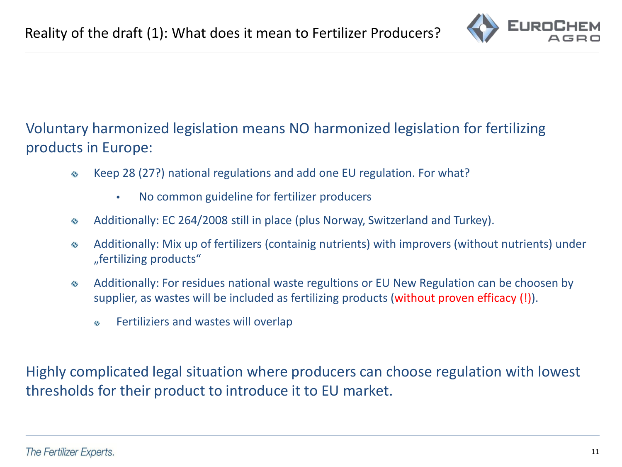

## Voluntary harmonized legislation means NO harmonized legislation for fertilizing products in Europe:

- Keep 28 (27?) national regulations and add one EU regulation. For what? ♦
	- No common guideline for fertilizer producers
- Additionally: EC 264/2008 still in place (plus Norway, Switzerland and Turkey). ♦
- Additionally: Mix up of fertilizers (containig nutrients) with improvers (without nutrients) under  $\leftrightarrow$ "fertilizing products"
- Additionally: For residues national waste regultions or EU New Regulation can be choosen by  $\leftrightarrow$ supplier, as wastes will be included as fertilizing products (without proven efficacy (!)).
	- Fertiliziers and wastes will overlap 今

Highly complicated legal situation where producers can choose regulation with lowest thresholds for their product to introduce it to EU market.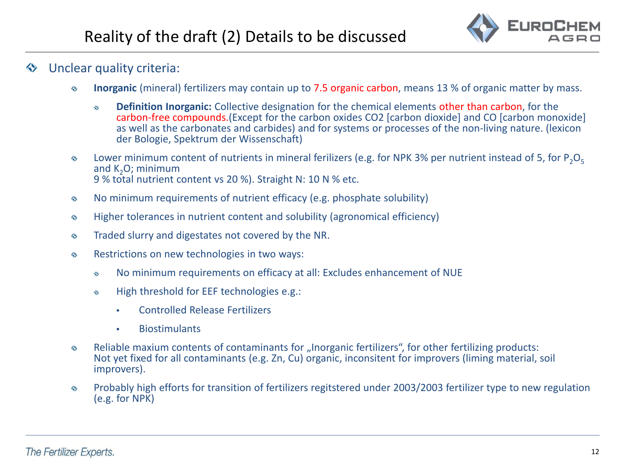

#### Unclear quality criteria:

- **Inorganic** (mineral) fertilizers may contain up to 7.5 organic carbon, means 13 % of organic matter by mass. ♦
	- **Definition Inorganic:** Collective designation for the chemical elements other than carbon, for the  $\leftrightarrow$ carbon-free compounds.(Except for the carbon oxides CO2 [carbon dioxide] and CO [carbon monoxide] as well as the carbonates and carbides) and for systems or processes of the non-living nature. (lexicon der Bologie, Spektrum der Wissenschaft)
- Lower minimum content of nutrients in mineral ferilizers (e.g. for NPK 3% per nutrient instead of 5, for  $P_2O_5$  $\leftrightarrow$ and  $K_2O$ ; minimum 9 % total nutrient content vs 20 %). Straight N: 10 N % etc.
- No minimum requirements of nutrient efficacy (e.g. phosphate solubility) ♦
- Higher tolerances in nutrient content and solubility (agronomical efficiency) ♦
- Traded slurry and digestates not covered by the NR. ♦
- Restrictions on new technologies in two ways:  $\leftrightarrow$ 
	- No minimum requirements on efficacy at all: Excludes enhancement of NUE ♦
	- High threshold for EEF technologies e.g.:  $\Leftrightarrow$ 
		- Controlled Release Fertilizers
		- Biostimulants
- Reliable maxium contents of contaminants for "Inorganic fertilizers", for other fertilizing products:  $\leftrightarrow$ Not yet fixed for all contaminants (e.g. Zn, Cu) organic, inconsitent for improvers (liming material, soil improvers).
- Probably high efforts for transition of fertilizers regitstered under 2003/2003 fertilizer type to new regulation  $\leftrightarrow$ (e.g. for NPK)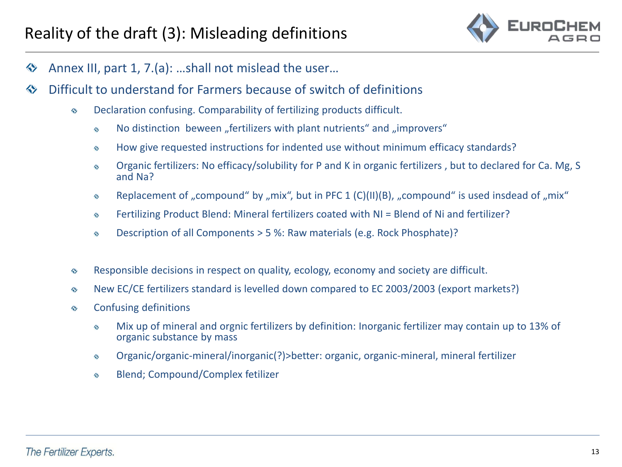

- Annex III, part 1, 7.(a): …shall not mislead the user…  $\Leftrightarrow$
- Difficult to understand for Farmers because of switch of definitions ◈
	- Declaration confusing. Comparability of fertilizing products difficult. ♦
		- No distinction beween "fertilizers with plant nutrients" and "improvers" ♦
		- How give requested instructions for indented use without minimum efficacy standards? ♦
		- Organic fertilizers: No efficacy/solubility for P and K in organic fertilizers , but to declared for Ca. Mg, S ♦ and Na?
		- Replacement of "compound" by "mix", but in PFC 1 (C)(II)(B), "compound" is used insdead of "mix" ♦
		- Fertilizing Product Blend: Mineral fertilizers coated with NI = Blend of Ni and fertilizer? ♦
		- Description of all Components > 5 %: Raw materials (e.g. Rock Phosphate)? ♦
	- Responsible decisions in respect on quality, ecology, economy and society are difficult. ♦
	- New EC/CE fertilizers standard is levelled down compared to EC 2003/2003 (export markets?) ♦
	- Confusing definitions ♦
		- Mix up of mineral and orgnic fertilizers by definition: Inorganic fertilizer may contain up to 13% of ♦ organic substance by mass
		- Organic/organic-mineral/inorganic(?)>better: organic, organic-mineral, mineral fertilizer ♦
		- Blend; Compound/Complex fetilizer ♦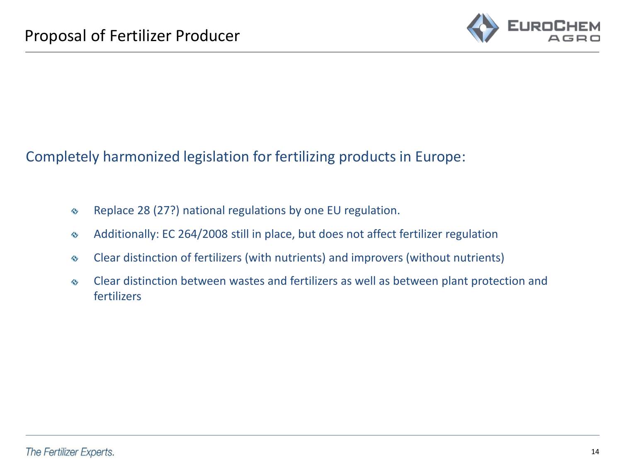

Completely harmonized legislation for fertilizing products in Europe:

- Replace 28 (27?) national regulations by one EU regulation.  $\leftrightarrow$
- Additionally: EC 264/2008 still in place, but does not affect fertilizer regulation  $\leftrightarrow$
- Clear distinction of fertilizers (with nutrients) and improvers (without nutrients)  $\leftrightarrow$
- Clear distinction between wastes and fertilizers as well as between plant protection and  $\leftrightarrow$ fertilizers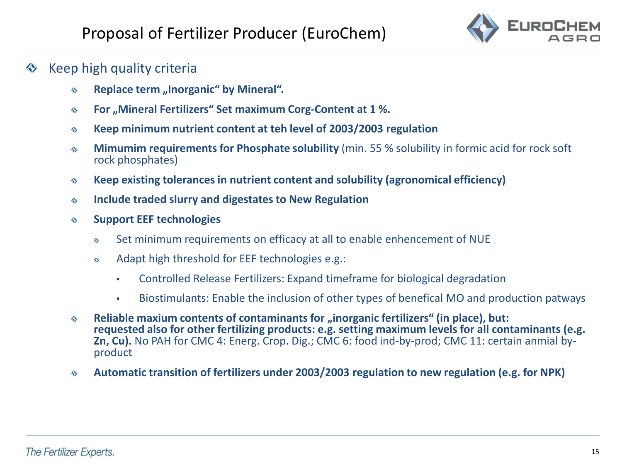

## $\Diamond$  Keep high quality criteria

- **Replace term** "Inorganic" by Mineral". ♦
- **For** "Mineral Fertilizers" Set maximum Corg-Content at 1 %. ♦
- **Keep minimum nutrient content at teh level of 2003/2003 regulation**  $\leftrightarrow$
- **Mimumim requirements for Phosphate solubility** (min. 55 % solubility in formic acid for rock soft  $\leftrightarrow$ rock phosphates)
- **Keep existing tolerancesin nutrient content and solubility (agronomical efficiency)**  $\leftrightarrow$
- **Include traded slurry and digestates to New Regulation**  $\leftrightarrow$
- **Support EEF technologies** ♦
	- Set minimum requirements on efficacy at all to enable enhencement of NUE  $\ddot{\textbf{c}}$
	- Adapt high threshold for EEF technologies e.g.:  $\leftrightarrow$ 
		- Controlled Release Fertilizers: Expand timeframe for biological degradation
		- Biostimulants: Enable the inclusion of other types of benefical MO and production patways
- **Reliable maxium contents of contaminants for "inorganic fertilizers" (in place), but:**  $\leftrightarrow$ **requested also for other fertilizing products: e.g. setting maximum levels for all contaminants (e.g. Zn, Cu).** No PAH for CMC 4: Energ. Crop. Dig.; CMC 6: food ind-by-prod; CMC 11: certain anmial by-<br>product
- **Automatic transition of fertilizers under 2003/2003 regulation to new regulation (e.g. for NPK)**  $\leftrightarrow$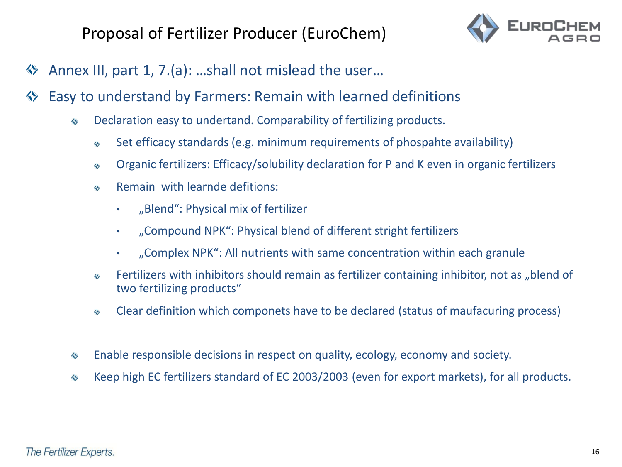

- Annex III, part 1, 7.(a): …shall not mislead the user… ◈
- Easy to understand by Farmers: Remain with learned definitions «
	- Declaration easy to undertand. Comparability of fertilizing products. ♦
		- Set efficacy standards (e.g. minimum requirements of phospahte availability) ♦
		- Organic fertilizers: Efficacy/solubility declaration for P and K even in organic fertilizers ♦
		- Remain with learnde defitions:  $\leftrightarrow$ 
			- "Blend": Physical mix of fertilizer
			- "Compound NPK": Physical blend of different stright fertilizers
			- "Complex NPK": All nutrients with same concentration within each granule
		- Fertilizers with inhibitors should remain as fertilizer containing inhibitor, not as "blend of ♦ two fertilizing products"
		- Clear definition which componets have to be declared (status of maufacuring process) ♦
	- Enable responsible decisions in respect on quality, ecology, economy and society. ♦
	- Keep high EC fertilizers standard of EC 2003/2003 (even for export markets), for all products. ♦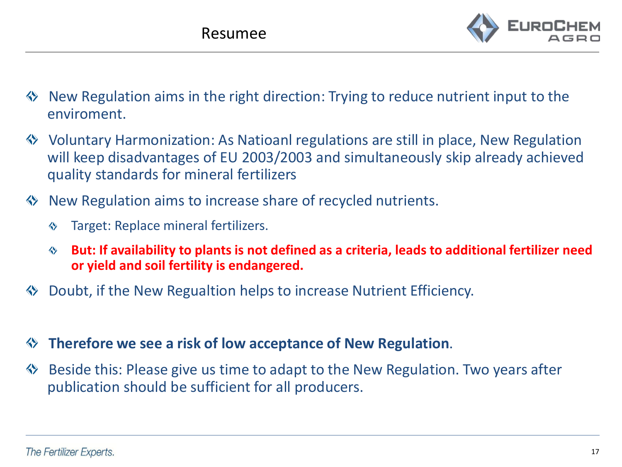

- New Regulation aims in the right direction: Trying to reduce nutrient input to the enviroment.
- Voluntary Harmonization: As Natioanl regulations are still in place, New Regulation will keep disadvantages of EU 2003/2003 and simultaneously skip already achieved quality standards for mineral fertilizers
- **♦ New Regulation aims to increase share of recycled nutrients.** 
	- Target: Replace mineral fertilizers. ◈
	- **But: If availability to plants is not defined as a criteria, leads to additional fertilizer need**  $\Leftrightarrow$ **or yield and soil fertility is endangered.**
- Doubt, if the New Regualtion helps to increase Nutrient Efficiency.
- **Therefore we see a risk of low acceptance of New Regulation**.
- Beside this: Please give us time to adapt to the New Regulation. Two years after  $\leftrightarrow$ publication should be sufficient for all producers.